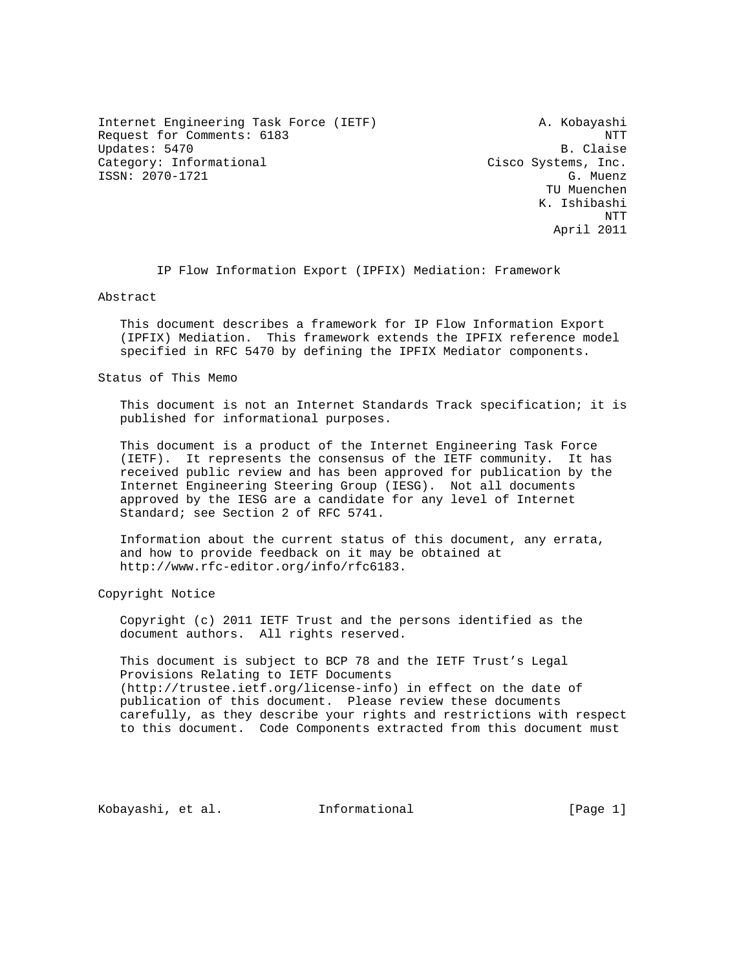Internet Engineering Task Force (IETF) A. Kobayashi Request for Comments: 6183 NTT Updates: 5470 B. Claise Category: Informational Cisco Systems, Inc. ISSN: 2070-1721 G. Muenz

 TU Muenchen K. Ishibashi NTT April 2011

IP Flow Information Export (IPFIX) Mediation: Framework

Abstract

 This document describes a framework for IP Flow Information Export (IPFIX) Mediation. This framework extends the IPFIX reference model specified in RFC 5470 by defining the IPFIX Mediator components.

Status of This Memo

 This document is not an Internet Standards Track specification; it is published for informational purposes.

 This document is a product of the Internet Engineering Task Force (IETF). It represents the consensus of the IETF community. It has received public review and has been approved for publication by the Internet Engineering Steering Group (IESG). Not all documents approved by the IESG are a candidate for any level of Internet Standard; see Section 2 of RFC 5741.

 Information about the current status of this document, any errata, and how to provide feedback on it may be obtained at http://www.rfc-editor.org/info/rfc6183.

Copyright Notice

 Copyright (c) 2011 IETF Trust and the persons identified as the document authors. All rights reserved.

 This document is subject to BCP 78 and the IETF Trust's Legal Provisions Relating to IETF Documents (http://trustee.ietf.org/license-info) in effect on the date of publication of this document. Please review these documents carefully, as they describe your rights and restrictions with respect to this document. Code Components extracted from this document must

Kobayashi, et al. Informational [Page 1]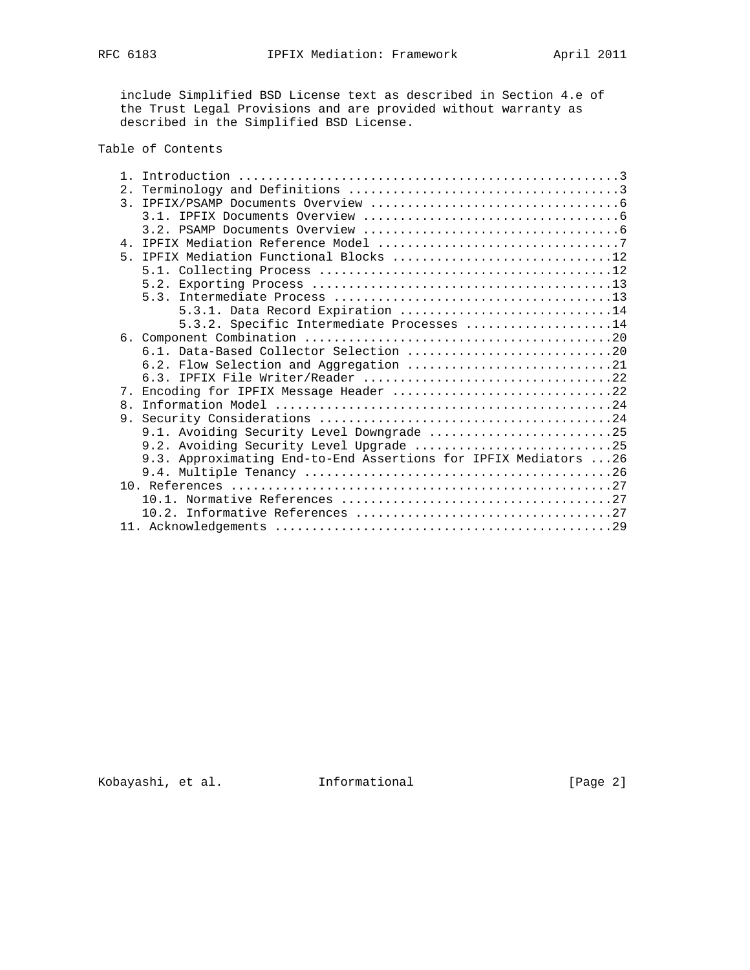include Simplified BSD License text as described in Section 4.e of the Trust Legal Provisions and are provided without warranty as described in the Simplified BSD License.

# Table of Contents

| $\overline{3}$ . |                                                                  |
|------------------|------------------------------------------------------------------|
|                  |                                                                  |
|                  |                                                                  |
|                  |                                                                  |
|                  | 5. IPFIX Mediation Functional Blocks 12                          |
|                  |                                                                  |
|                  |                                                                  |
|                  |                                                                  |
|                  | 5.3.1. Data Record Expiration 14                                 |
|                  | 5.3.2. Specific Intermediate Processes 14                        |
|                  |                                                                  |
|                  |                                                                  |
|                  | 6.2. Flow Selection and Aggregation 21                           |
|                  | 6.3. IPFIX File Writer/Reader 22                                 |
| $7_{\odot}$      | Encoding for IPFIX Message Header 22                             |
| $\mathsf{R}$     |                                                                  |
|                  |                                                                  |
|                  | 9.1. Avoiding Security Level Downgrade 25                        |
|                  |                                                                  |
|                  | 9.2. Avoiding Security Level Upgrade 25                          |
|                  | 9.3. Approximating End-to-End Assertions for IPFIX Mediators  26 |
|                  |                                                                  |
|                  |                                                                  |
|                  |                                                                  |
|                  |                                                                  |
|                  |                                                                  |

Kobayashi, et al. Informational [Page 2]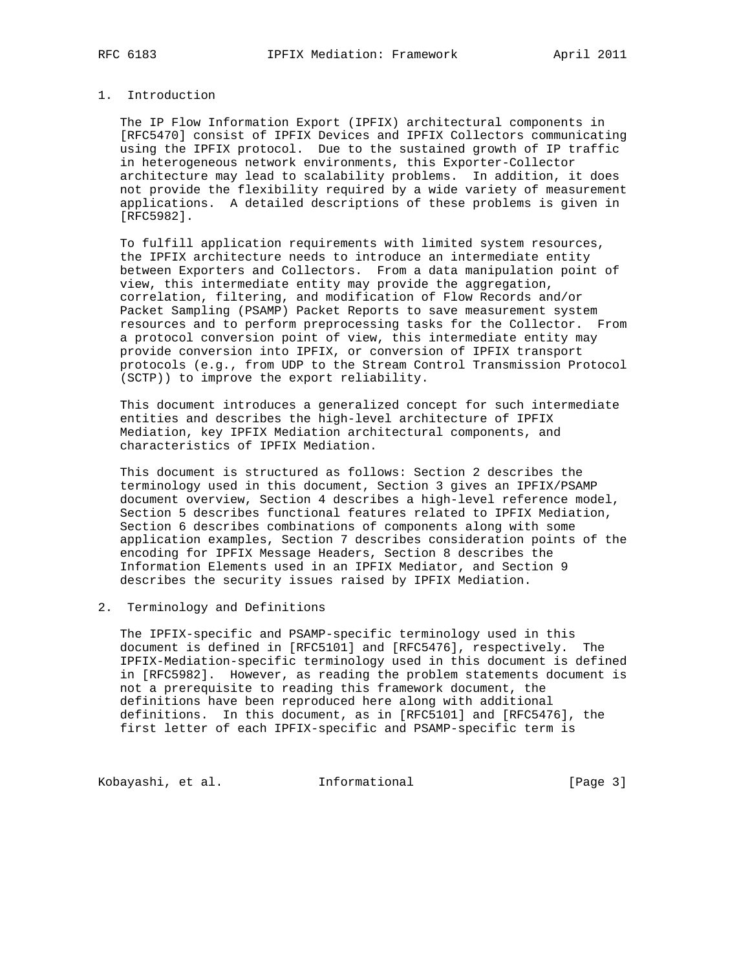# 1. Introduction

 The IP Flow Information Export (IPFIX) architectural components in [RFC5470] consist of IPFIX Devices and IPFIX Collectors communicating using the IPFIX protocol. Due to the sustained growth of IP traffic in heterogeneous network environments, this Exporter-Collector architecture may lead to scalability problems. In addition, it does not provide the flexibility required by a wide variety of measurement applications. A detailed descriptions of these problems is given in [RFC5982].

 To fulfill application requirements with limited system resources, the IPFIX architecture needs to introduce an intermediate entity between Exporters and Collectors. From a data manipulation point of view, this intermediate entity may provide the aggregation, correlation, filtering, and modification of Flow Records and/or Packet Sampling (PSAMP) Packet Reports to save measurement system resources and to perform preprocessing tasks for the Collector. From a protocol conversion point of view, this intermediate entity may provide conversion into IPFIX, or conversion of IPFIX transport protocols (e.g., from UDP to the Stream Control Transmission Protocol (SCTP)) to improve the export reliability.

 This document introduces a generalized concept for such intermediate entities and describes the high-level architecture of IPFIX Mediation, key IPFIX Mediation architectural components, and characteristics of IPFIX Mediation.

 This document is structured as follows: Section 2 describes the terminology used in this document, Section 3 gives an IPFIX/PSAMP document overview, Section 4 describes a high-level reference model, Section 5 describes functional features related to IPFIX Mediation, Section 6 describes combinations of components along with some application examples, Section 7 describes consideration points of the encoding for IPFIX Message Headers, Section 8 describes the Information Elements used in an IPFIX Mediator, and Section 9 describes the security issues raised by IPFIX Mediation.

# 2. Terminology and Definitions

 The IPFIX-specific and PSAMP-specific terminology used in this document is defined in [RFC5101] and [RFC5476], respectively. The IPFIX-Mediation-specific terminology used in this document is defined in [RFC5982]. However, as reading the problem statements document is not a prerequisite to reading this framework document, the definitions have been reproduced here along with additional definitions. In this document, as in [RFC5101] and [RFC5476], the first letter of each IPFIX-specific and PSAMP-specific term is

Kobayashi, et al. 1nformational 1974 [Page 3]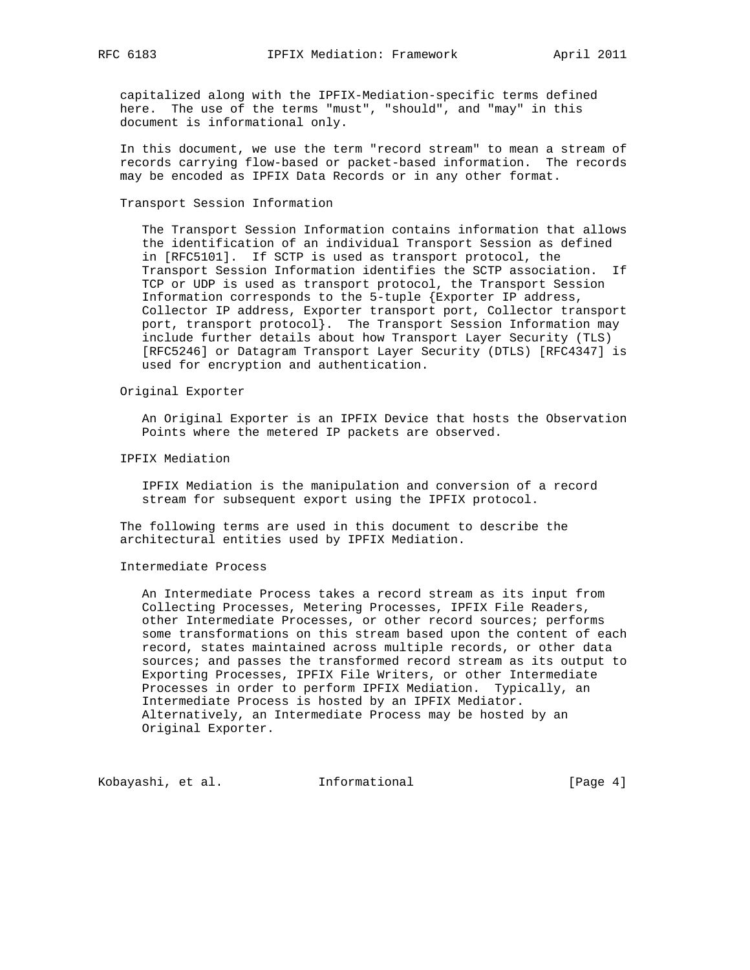capitalized along with the IPFIX-Mediation-specific terms defined here. The use of the terms "must", "should", and "may" in this document is informational only.

 In this document, we use the term "record stream" to mean a stream of records carrying flow-based or packet-based information. The records may be encoded as IPFIX Data Records or in any other format.

Transport Session Information

 The Transport Session Information contains information that allows the identification of an individual Transport Session as defined in [RFC5101]. If SCTP is used as transport protocol, the Transport Session Information identifies the SCTP association. If TCP or UDP is used as transport protocol, the Transport Session Information corresponds to the 5-tuple {Exporter IP address, Collector IP address, Exporter transport port, Collector transport port, transport protocol}. The Transport Session Information may include further details about how Transport Layer Security (TLS) [RFC5246] or Datagram Transport Layer Security (DTLS) [RFC4347] is used for encryption and authentication.

Original Exporter

 An Original Exporter is an IPFIX Device that hosts the Observation Points where the metered IP packets are observed.

IPFIX Mediation

 IPFIX Mediation is the manipulation and conversion of a record stream for subsequent export using the IPFIX protocol.

 The following terms are used in this document to describe the architectural entities used by IPFIX Mediation.

### Intermediate Process

 An Intermediate Process takes a record stream as its input from Collecting Processes, Metering Processes, IPFIX File Readers, other Intermediate Processes, or other record sources; performs some transformations on this stream based upon the content of each record, states maintained across multiple records, or other data sources; and passes the transformed record stream as its output to Exporting Processes, IPFIX File Writers, or other Intermediate Processes in order to perform IPFIX Mediation. Typically, an Intermediate Process is hosted by an IPFIX Mediator. Alternatively, an Intermediate Process may be hosted by an Original Exporter.

Kobayashi, et al. Informational [Page 4]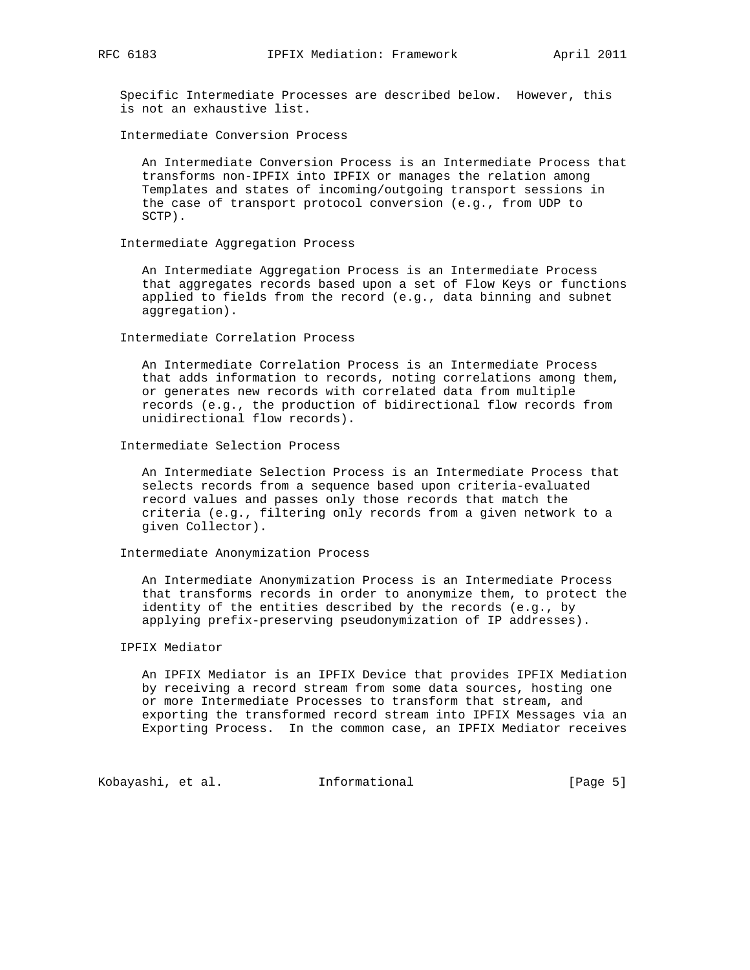Specific Intermediate Processes are described below. However, this is not an exhaustive list.

Intermediate Conversion Process

 An Intermediate Conversion Process is an Intermediate Process that transforms non-IPFIX into IPFIX or manages the relation among Templates and states of incoming/outgoing transport sessions in the case of transport protocol conversion (e.g., from UDP to SCTP).

Intermediate Aggregation Process

 An Intermediate Aggregation Process is an Intermediate Process that aggregates records based upon a set of Flow Keys or functions applied to fields from the record (e.g., data binning and subnet aggregation).

Intermediate Correlation Process

 An Intermediate Correlation Process is an Intermediate Process that adds information to records, noting correlations among them, or generates new records with correlated data from multiple records (e.g., the production of bidirectional flow records from unidirectional flow records).

Intermediate Selection Process

 An Intermediate Selection Process is an Intermediate Process that selects records from a sequence based upon criteria-evaluated record values and passes only those records that match the criteria (e.g., filtering only records from a given network to a given Collector).

Intermediate Anonymization Process

 An Intermediate Anonymization Process is an Intermediate Process that transforms records in order to anonymize them, to protect the identity of the entities described by the records (e.g., by applying prefix-preserving pseudonymization of IP addresses).

### IPFIX Mediator

 An IPFIX Mediator is an IPFIX Device that provides IPFIX Mediation by receiving a record stream from some data sources, hosting one or more Intermediate Processes to transform that stream, and exporting the transformed record stream into IPFIX Messages via an Exporting Process. In the common case, an IPFIX Mediator receives

Kobayashi, et al. Informational [Page 5]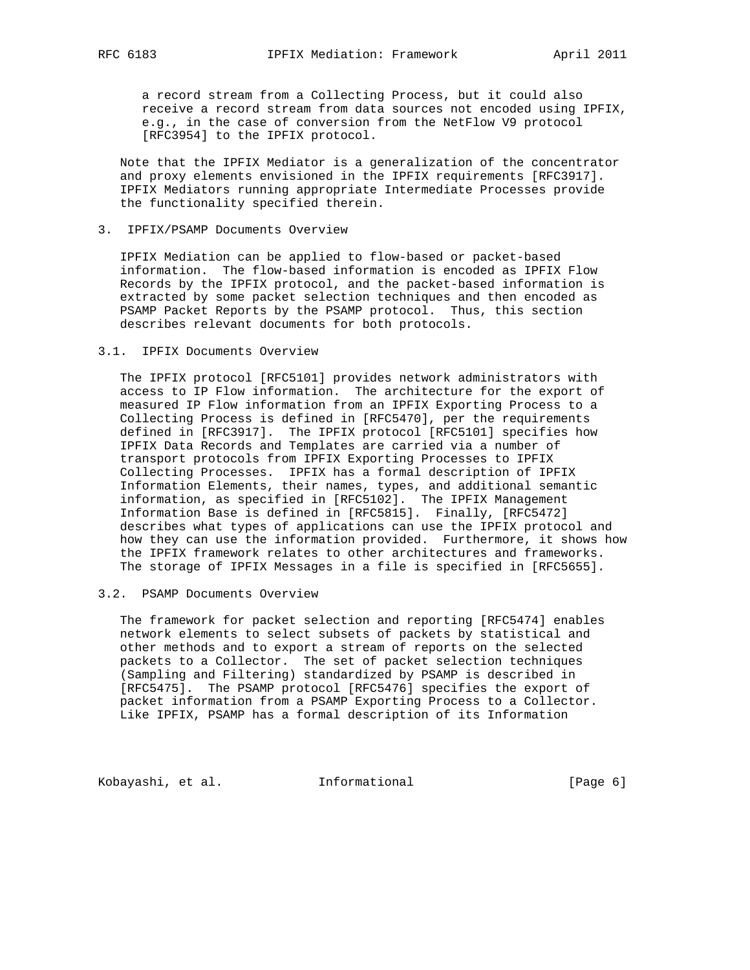a record stream from a Collecting Process, but it could also receive a record stream from data sources not encoded using IPFIX, e.g., in the case of conversion from the NetFlow V9 protocol [RFC3954] to the IPFIX protocol.

 Note that the IPFIX Mediator is a generalization of the concentrator and proxy elements envisioned in the IPFIX requirements [RFC3917]. IPFIX Mediators running appropriate Intermediate Processes provide the functionality specified therein.

### 3. IPFIX/PSAMP Documents Overview

 IPFIX Mediation can be applied to flow-based or packet-based information. The flow-based information is encoded as IPFIX Flow Records by the IPFIX protocol, and the packet-based information is extracted by some packet selection techniques and then encoded as PSAMP Packet Reports by the PSAMP protocol. Thus, this section describes relevant documents for both protocols.

### 3.1. IPFIX Documents Overview

 The IPFIX protocol [RFC5101] provides network administrators with access to IP Flow information. The architecture for the export of measured IP Flow information from an IPFIX Exporting Process to a Collecting Process is defined in [RFC5470], per the requirements defined in [RFC3917]. The IPFIX protocol [RFC5101] specifies how IPFIX Data Records and Templates are carried via a number of transport protocols from IPFIX Exporting Processes to IPFIX Collecting Processes. IPFIX has a formal description of IPFIX Information Elements, their names, types, and additional semantic information, as specified in [RFC5102]. The IPFIX Management Information Base is defined in [RFC5815]. Finally, [RFC5472] describes what types of applications can use the IPFIX protocol and how they can use the information provided. Furthermore, it shows how the IPFIX framework relates to other architectures and frameworks. The storage of IPFIX Messages in a file is specified in [RFC5655].

### 3.2. PSAMP Documents Overview

 The framework for packet selection and reporting [RFC5474] enables network elements to select subsets of packets by statistical and other methods and to export a stream of reports on the selected packets to a Collector. The set of packet selection techniques (Sampling and Filtering) standardized by PSAMP is described in [RFC5475]. The PSAMP protocol [RFC5476] specifies the export of packet information from a PSAMP Exporting Process to a Collector. Like IPFIX, PSAMP has a formal description of its Information

Kobayashi, et al. 1nformational (Page 6)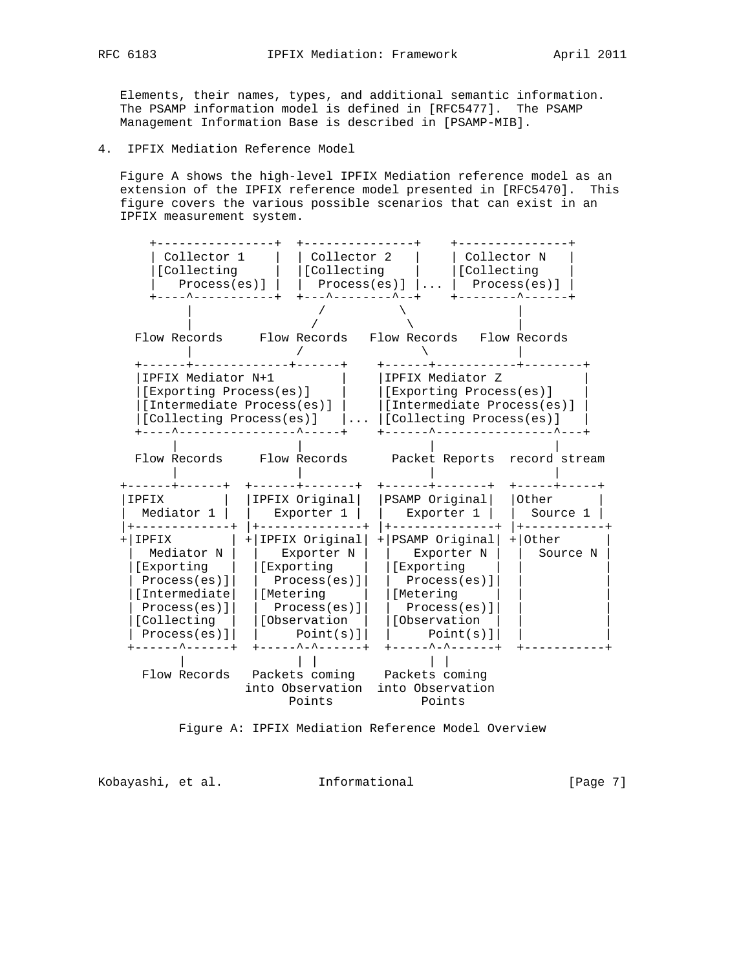Elements, their names, types, and additional semantic information. The PSAMP information model is defined in [RFC5477]. The PSAMP Management Information Base is described in [PSAMP-MIB].

4. IPFIX Mediation Reference Model

 Figure A shows the high-level IPFIX Mediation reference model as an extension of the IPFIX reference model presented in [RFC5470]. This figure covers the various possible scenarios that can exist in an IPFIX measurement system.



Figure A: IPFIX Mediation Reference Model Overview

Kobayashi, et al. Informational [Page 7]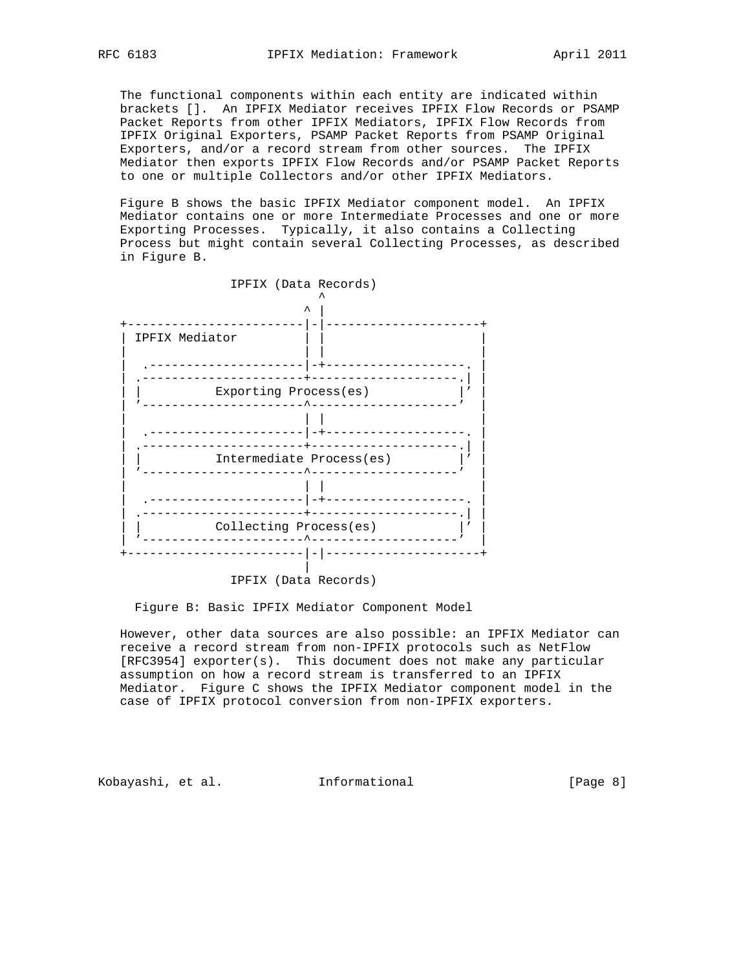The functional components within each entity are indicated within brackets []. An IPFIX Mediator receives IPFIX Flow Records or PSAMP Packet Reports from other IPFIX Mediators, IPFIX Flow Records from IPFIX Original Exporters, PSAMP Packet Reports from PSAMP Original Exporters, and/or a record stream from other sources. The IPFIX Mediator then exports IPFIX Flow Records and/or PSAMP Packet Reports to one or multiple Collectors and/or other IPFIX Mediators.

 Figure B shows the basic IPFIX Mediator component model. An IPFIX Mediator contains one or more Intermediate Processes and one or more Exporting Processes. Typically, it also contains a Collecting Process but might contain several Collecting Processes, as described in Figure B.



IPFIX (Data Records)

Figure B: Basic IPFIX Mediator Component Model

 However, other data sources are also possible: an IPFIX Mediator can receive a record stream from non-IPFIX protocols such as NetFlow [RFC3954] exporter(s). This document does not make any particular assumption on how a record stream is transferred to an IPFIX Mediator. Figure C shows the IPFIX Mediator component model in the case of IPFIX protocol conversion from non-IPFIX exporters.

Kobayashi, et al. Informational [Page 8]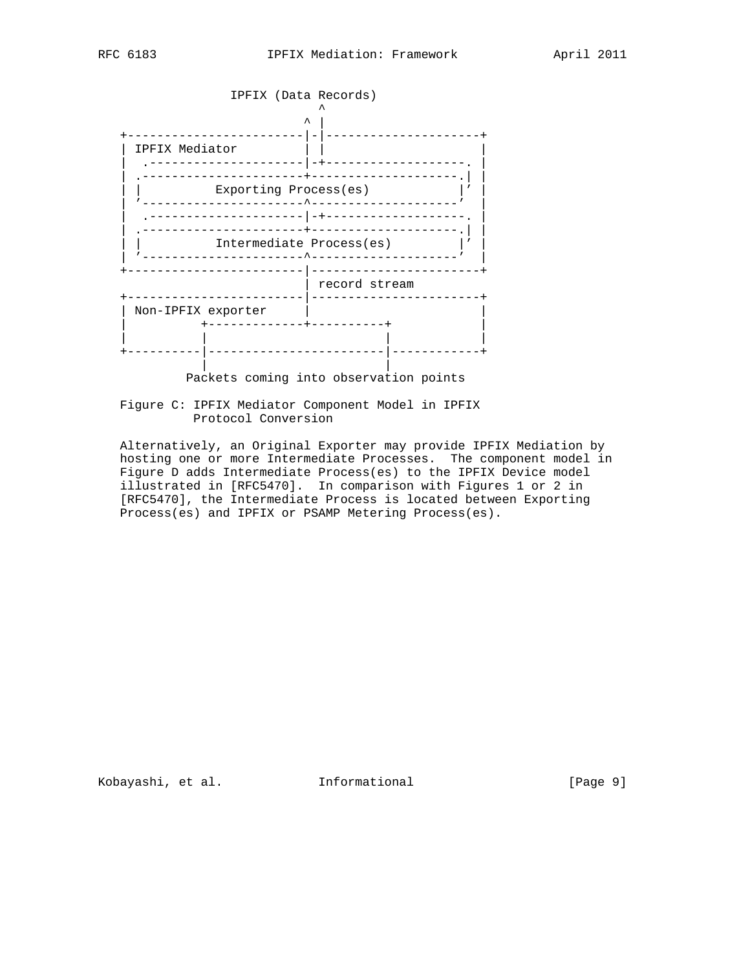

Packets coming into observation points

 Figure C: IPFIX Mediator Component Model in IPFIX Protocol Conversion

 Alternatively, an Original Exporter may provide IPFIX Mediation by hosting one or more Intermediate Processes. The component model in Figure D adds Intermediate Process(es) to the IPFIX Device model illustrated in [RFC5470]. In comparison with Figures 1 or 2 in [RFC5470], the Intermediate Process is located between Exporting Process(es) and IPFIX or PSAMP Metering Process(es).

Kobayashi, et al. 1nformational [Page 9]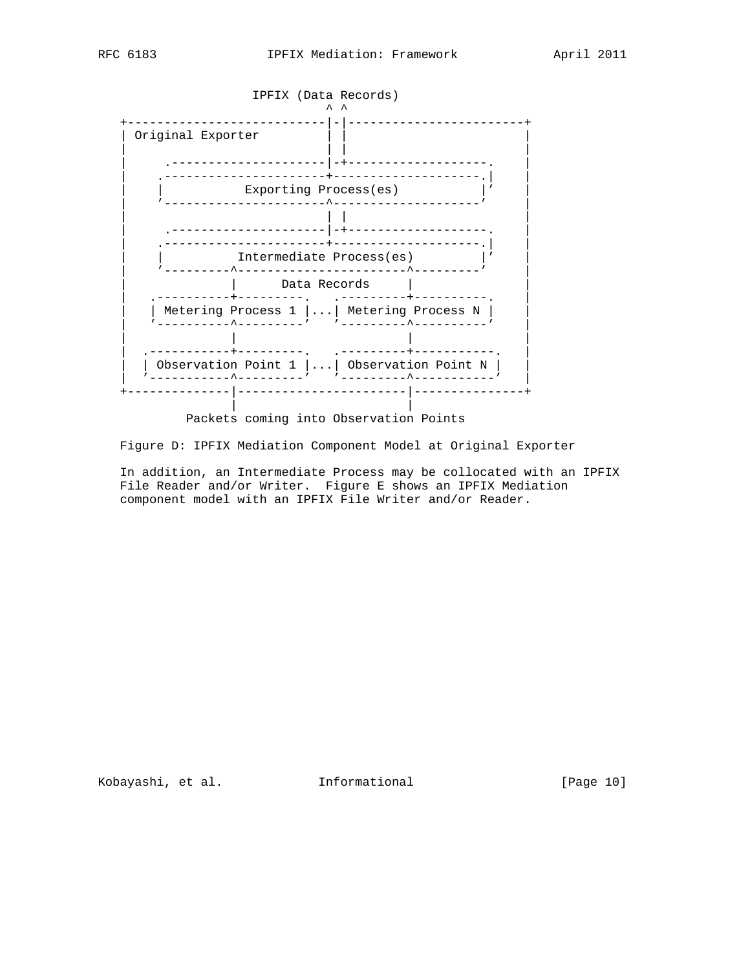

Packets coming into Observation Points

Figure D: IPFIX Mediation Component Model at Original Exporter

 In addition, an Intermediate Process may be collocated with an IPFIX File Reader and/or Writer. Figure E shows an IPFIX Mediation component model with an IPFIX File Writer and/or Reader.

Kobayashi, et al. 1nformational [Page 10]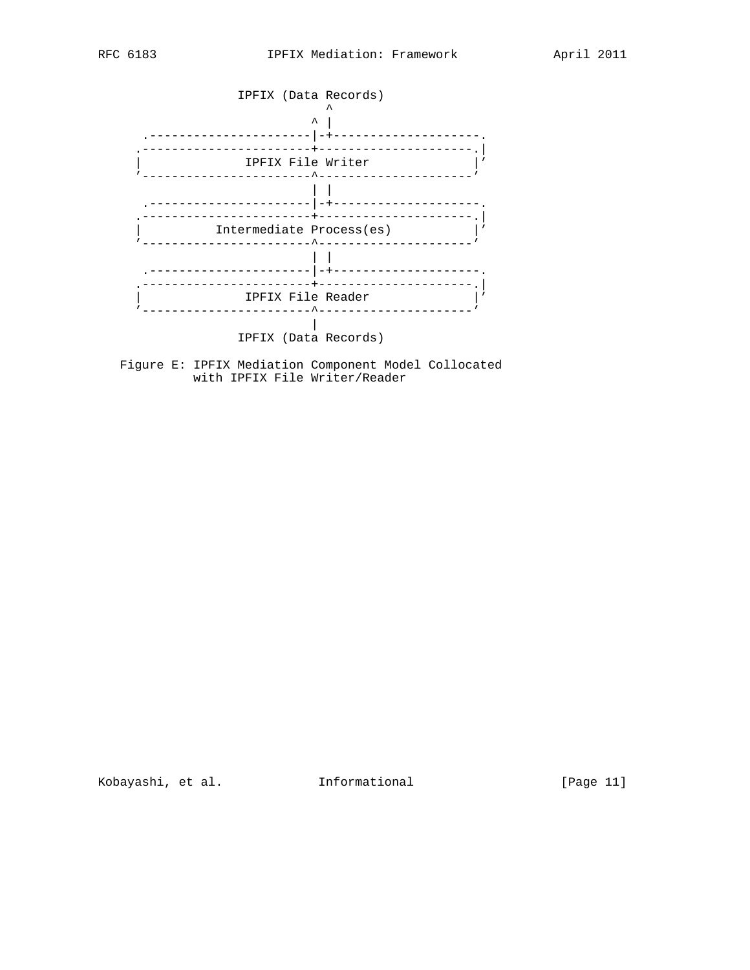



 Figure E: IPFIX Mediation Component Model Collocated with IPFIX File Writer/Reader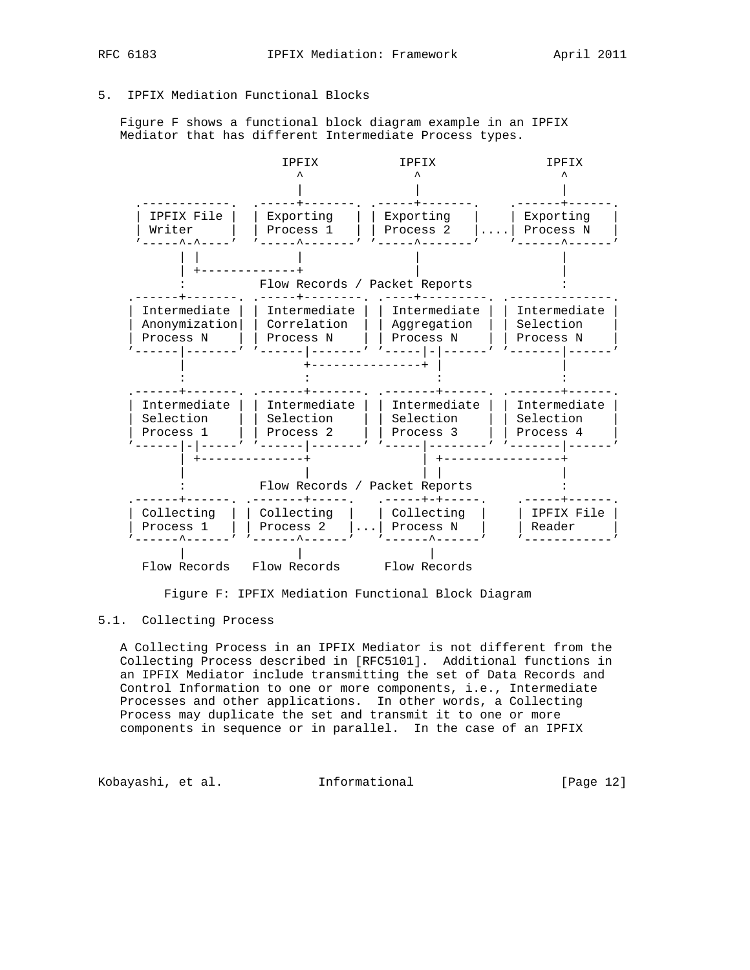# 5. IPFIX Mediation Functional Blocks

 Figure F shows a functional block diagram example in an IPFIX Mediator that has different Intermediate Process types.



Figure F: IPFIX Mediation Functional Block Diagram

# 5.1. Collecting Process

 A Collecting Process in an IPFIX Mediator is not different from the Collecting Process described in [RFC5101]. Additional functions in an IPFIX Mediator include transmitting the set of Data Records and Control Information to one or more components, i.e., Intermediate Processes and other applications. In other words, a Collecting Process may duplicate the set and transmit it to one or more components in sequence or in parallel. In the case of an IPFIX

Kobayashi, et al. 1nformational [Page 12]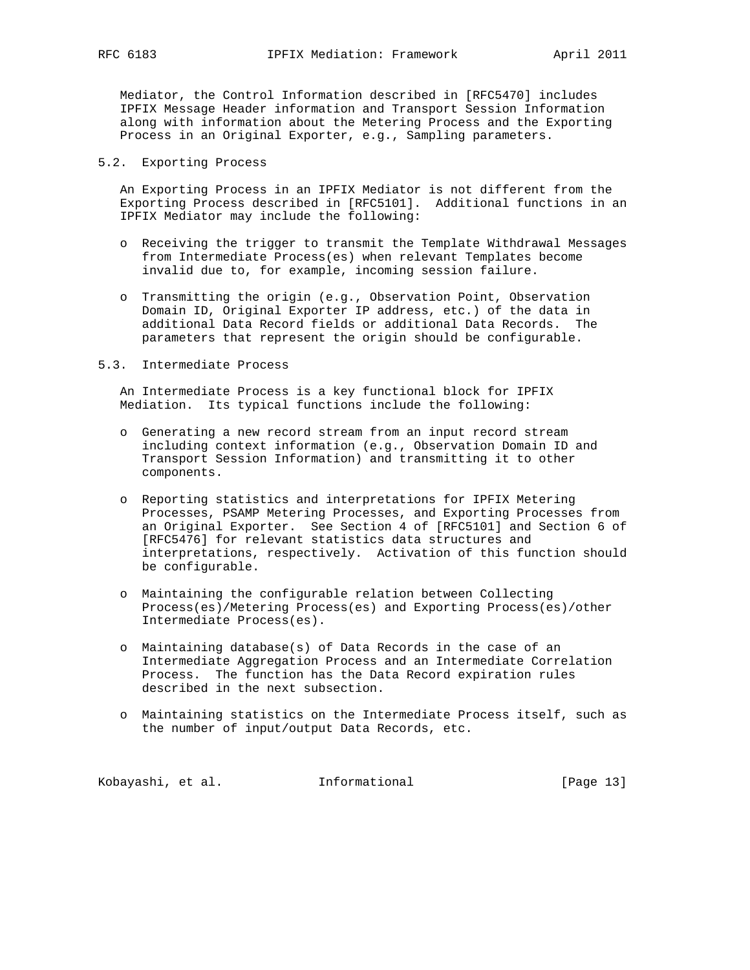Mediator, the Control Information described in [RFC5470] includes IPFIX Message Header information and Transport Session Information along with information about the Metering Process and the Exporting Process in an Original Exporter, e.g., Sampling parameters.

## 5.2. Exporting Process

 An Exporting Process in an IPFIX Mediator is not different from the Exporting Process described in [RFC5101]. Additional functions in an IPFIX Mediator may include the following:

- o Receiving the trigger to transmit the Template Withdrawal Messages from Intermediate Process(es) when relevant Templates become invalid due to, for example, incoming session failure.
- o Transmitting the origin (e.g., Observation Point, Observation Domain ID, Original Exporter IP address, etc.) of the data in additional Data Record fields or additional Data Records. The parameters that represent the origin should be configurable.

## 5.3. Intermediate Process

 An Intermediate Process is a key functional block for IPFIX Mediation. Its typical functions include the following:

- o Generating a new record stream from an input record stream including context information (e.g., Observation Domain ID and Transport Session Information) and transmitting it to other components.
- o Reporting statistics and interpretations for IPFIX Metering Processes, PSAMP Metering Processes, and Exporting Processes from an Original Exporter. See Section 4 of [RFC5101] and Section 6 of [RFC5476] for relevant statistics data structures and interpretations, respectively. Activation of this function should be configurable.
- o Maintaining the configurable relation between Collecting Process(es)/Metering Process(es) and Exporting Process(es)/other Intermediate Process(es).
- o Maintaining database(s) of Data Records in the case of an Intermediate Aggregation Process and an Intermediate Correlation Process. The function has the Data Record expiration rules described in the next subsection.
- o Maintaining statistics on the Intermediate Process itself, such as the number of input/output Data Records, etc.

Kobayashi, et al. 1nformational [Page 13]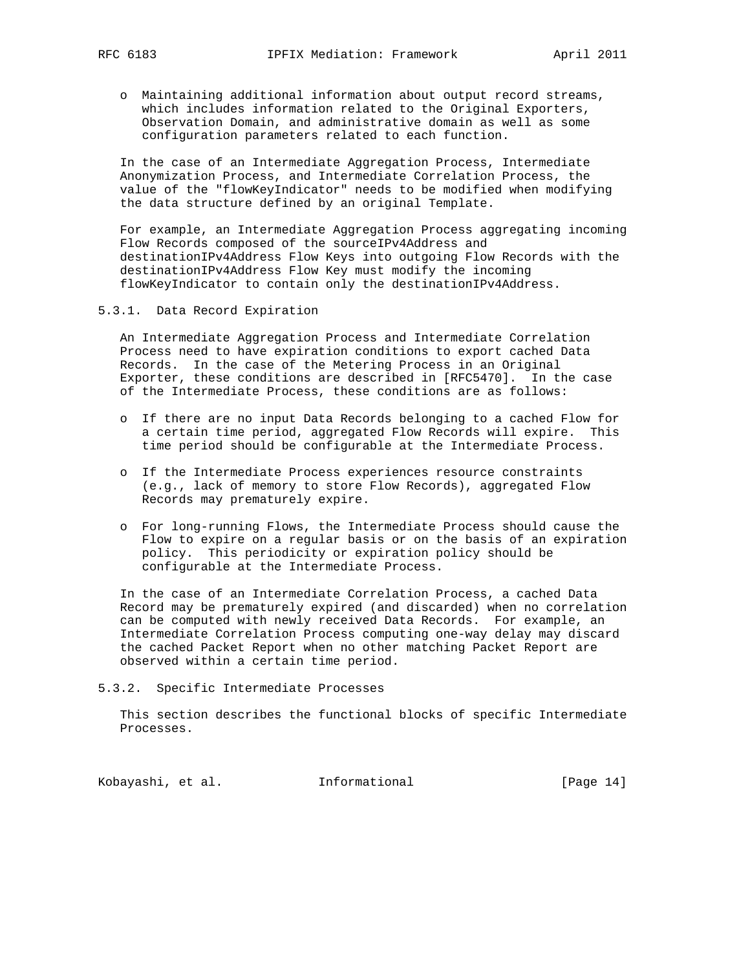o Maintaining additional information about output record streams, which includes information related to the Original Exporters, Observation Domain, and administrative domain as well as some configuration parameters related to each function.

 In the case of an Intermediate Aggregation Process, Intermediate Anonymization Process, and Intermediate Correlation Process, the value of the "flowKeyIndicator" needs to be modified when modifying the data structure defined by an original Template.

 For example, an Intermediate Aggregation Process aggregating incoming Flow Records composed of the sourceIPv4Address and destinationIPv4Address Flow Keys into outgoing Flow Records with the destinationIPv4Address Flow Key must modify the incoming flowKeyIndicator to contain only the destinationIPv4Address.

5.3.1. Data Record Expiration

 An Intermediate Aggregation Process and Intermediate Correlation Process need to have expiration conditions to export cached Data Records. In the case of the Metering Process in an Original Exporter, these conditions are described in [RFC5470]. In the case of the Intermediate Process, these conditions are as follows:

- o If there are no input Data Records belonging to a cached Flow for a certain time period, aggregated Flow Records will expire. This time period should be configurable at the Intermediate Process.
- o If the Intermediate Process experiences resource constraints (e.g., lack of memory to store Flow Records), aggregated Flow Records may prematurely expire.
- o For long-running Flows, the Intermediate Process should cause the Flow to expire on a regular basis or on the basis of an expiration policy. This periodicity or expiration policy should be configurable at the Intermediate Process.

 In the case of an Intermediate Correlation Process, a cached Data Record may be prematurely expired (and discarded) when no correlation can be computed with newly received Data Records. For example, an Intermediate Correlation Process computing one-way delay may discard the cached Packet Report when no other matching Packet Report are observed within a certain time period.

5.3.2. Specific Intermediate Processes

 This section describes the functional blocks of specific Intermediate Processes.

Kobayashi, et al. 1nformational [Page 14]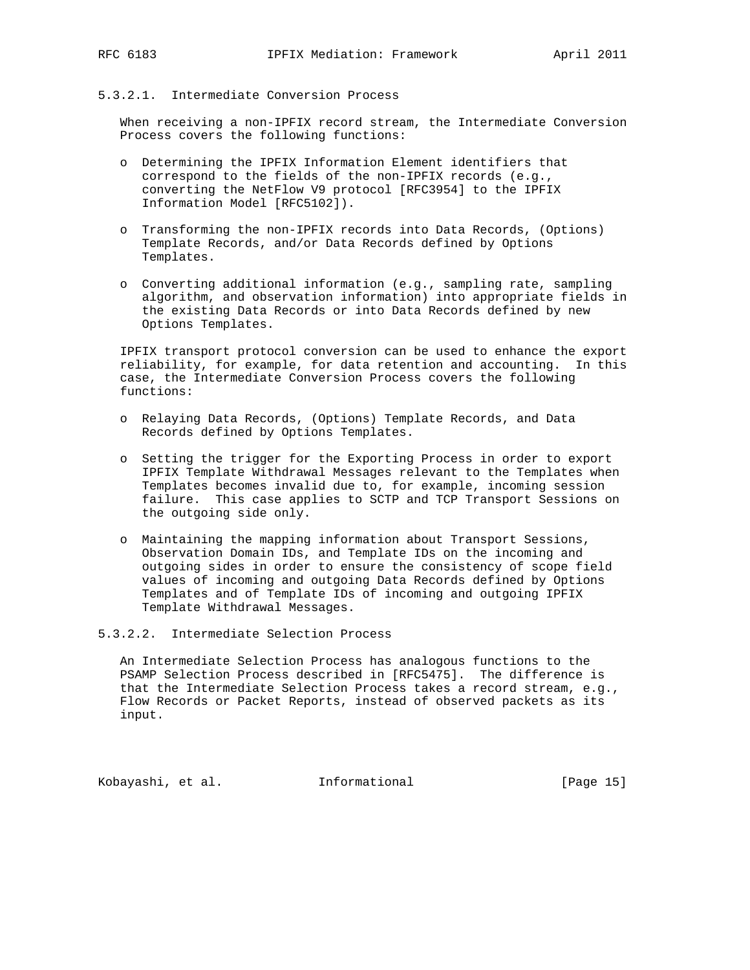# 5.3.2.1. Intermediate Conversion Process

 When receiving a non-IPFIX record stream, the Intermediate Conversion Process covers the following functions:

- o Determining the IPFIX Information Element identifiers that correspond to the fields of the non-IPFIX records (e.g., converting the NetFlow V9 protocol [RFC3954] to the IPFIX Information Model [RFC5102]).
- o Transforming the non-IPFIX records into Data Records, (Options) Template Records, and/or Data Records defined by Options Templates.
- o Converting additional information (e.g., sampling rate, sampling algorithm, and observation information) into appropriate fields in the existing Data Records or into Data Records defined by new Options Templates.

 IPFIX transport protocol conversion can be used to enhance the export reliability, for example, for data retention and accounting. In this case, the Intermediate Conversion Process covers the following functions:

- o Relaying Data Records, (Options) Template Records, and Data Records defined by Options Templates.
- o Setting the trigger for the Exporting Process in order to export IPFIX Template Withdrawal Messages relevant to the Templates when Templates becomes invalid due to, for example, incoming session failure. This case applies to SCTP and TCP Transport Sessions on the outgoing side only.
- o Maintaining the mapping information about Transport Sessions, Observation Domain IDs, and Template IDs on the incoming and outgoing sides in order to ensure the consistency of scope field values of incoming and outgoing Data Records defined by Options Templates and of Template IDs of incoming and outgoing IPFIX Template Withdrawal Messages.

5.3.2.2. Intermediate Selection Process

 An Intermediate Selection Process has analogous functions to the PSAMP Selection Process described in [RFC5475]. The difference is that the Intermediate Selection Process takes a record stream, e.g., Flow Records or Packet Reports, instead of observed packets as its input.

Kobayashi, et al. 1nformational [Page 15]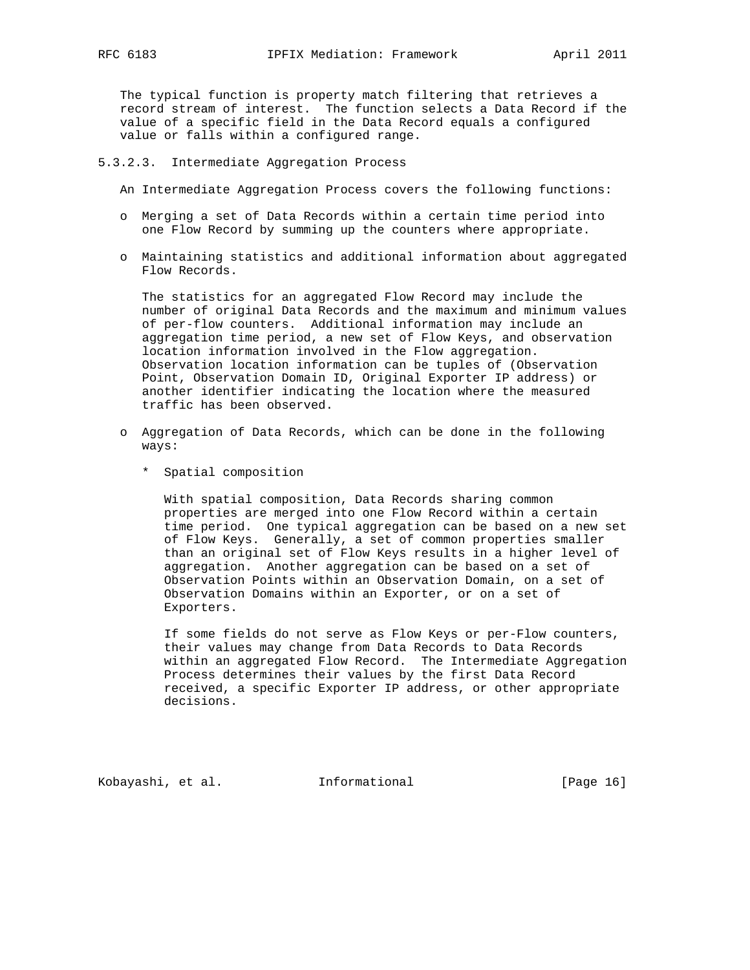The typical function is property match filtering that retrieves a record stream of interest. The function selects a Data Record if the value of a specific field in the Data Record equals a configured value or falls within a configured range.

5.3.2.3. Intermediate Aggregation Process

An Intermediate Aggregation Process covers the following functions:

- o Merging a set of Data Records within a certain time period into one Flow Record by summing up the counters where appropriate.
- o Maintaining statistics and additional information about aggregated Flow Records.

 The statistics for an aggregated Flow Record may include the number of original Data Records and the maximum and minimum values of per-flow counters. Additional information may include an aggregation time period, a new set of Flow Keys, and observation location information involved in the Flow aggregation. Observation location information can be tuples of (Observation Point, Observation Domain ID, Original Exporter IP address) or another identifier indicating the location where the measured traffic has been observed.

- o Aggregation of Data Records, which can be done in the following ways:
	- \* Spatial composition

 With spatial composition, Data Records sharing common properties are merged into one Flow Record within a certain time period. One typical aggregation can be based on a new set of Flow Keys. Generally, a set of common properties smaller than an original set of Flow Keys results in a higher level of aggregation. Another aggregation can be based on a set of Observation Points within an Observation Domain, on a set of Observation Domains within an Exporter, or on a set of Exporters.

 If some fields do not serve as Flow Keys or per-Flow counters, their values may change from Data Records to Data Records within an aggregated Flow Record. The Intermediate Aggregation Process determines their values by the first Data Record received, a specific Exporter IP address, or other appropriate decisions.

Kobayashi, et al. Informational [Page 16]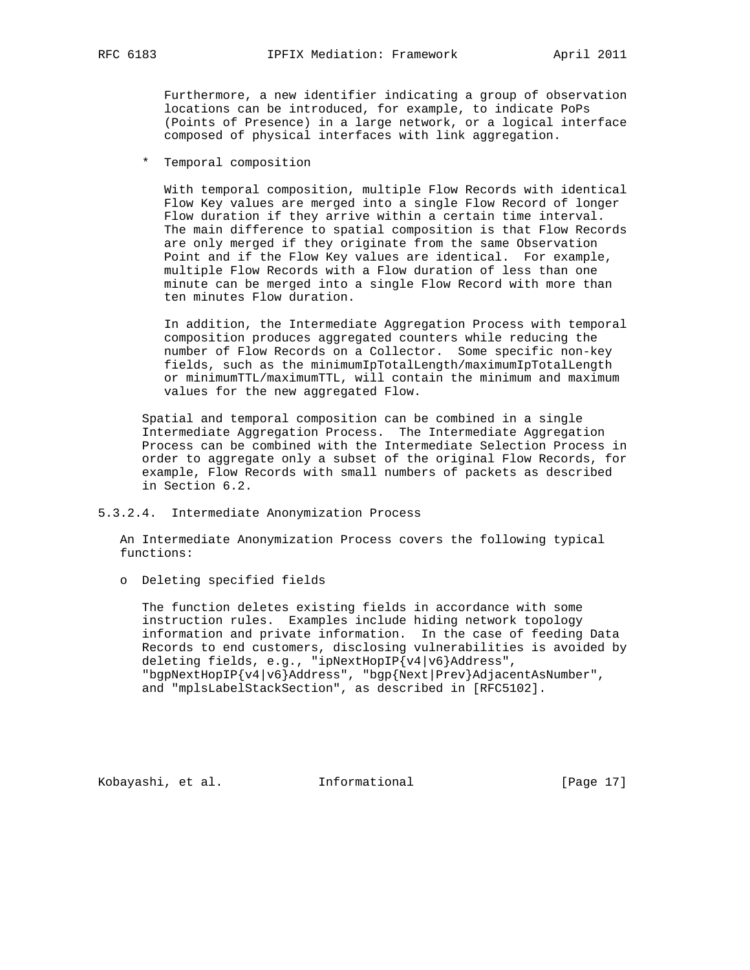Furthermore, a new identifier indicating a group of observation locations can be introduced, for example, to indicate PoPs (Points of Presence) in a large network, or a logical interface composed of physical interfaces with link aggregation.

\* Temporal composition

 With temporal composition, multiple Flow Records with identical Flow Key values are merged into a single Flow Record of longer Flow duration if they arrive within a certain time interval. The main difference to spatial composition is that Flow Records are only merged if they originate from the same Observation Point and if the Flow Key values are identical. For example, multiple Flow Records with a Flow duration of less than one minute can be merged into a single Flow Record with more than ten minutes Flow duration.

 In addition, the Intermediate Aggregation Process with temporal composition produces aggregated counters while reducing the number of Flow Records on a Collector. Some specific non-key fields, such as the minimumIpTotalLength/maximumIpTotalLength or minimumTTL/maximumTTL, will contain the minimum and maximum values for the new aggregated Flow.

 Spatial and temporal composition can be combined in a single Intermediate Aggregation Process. The Intermediate Aggregation Process can be combined with the Intermediate Selection Process in order to aggregate only a subset of the original Flow Records, for example, Flow Records with small numbers of packets as described in Section 6.2.

5.3.2.4. Intermediate Anonymization Process

 An Intermediate Anonymization Process covers the following typical functions:

o Deleting specified fields

 The function deletes existing fields in accordance with some instruction rules. Examples include hiding network topology information and private information. In the case of feeding Data Records to end customers, disclosing vulnerabilities is avoided by deleting fields, e.g., "ipNextHopIP{v4|v6}Address", "bgpNextHopIP{v4|v6}Address", "bgp{Next|Prev}AdjacentAsNumber", and "mplsLabelStackSection", as described in [RFC5102].

Kobayashi, et al. Informational [Page 17]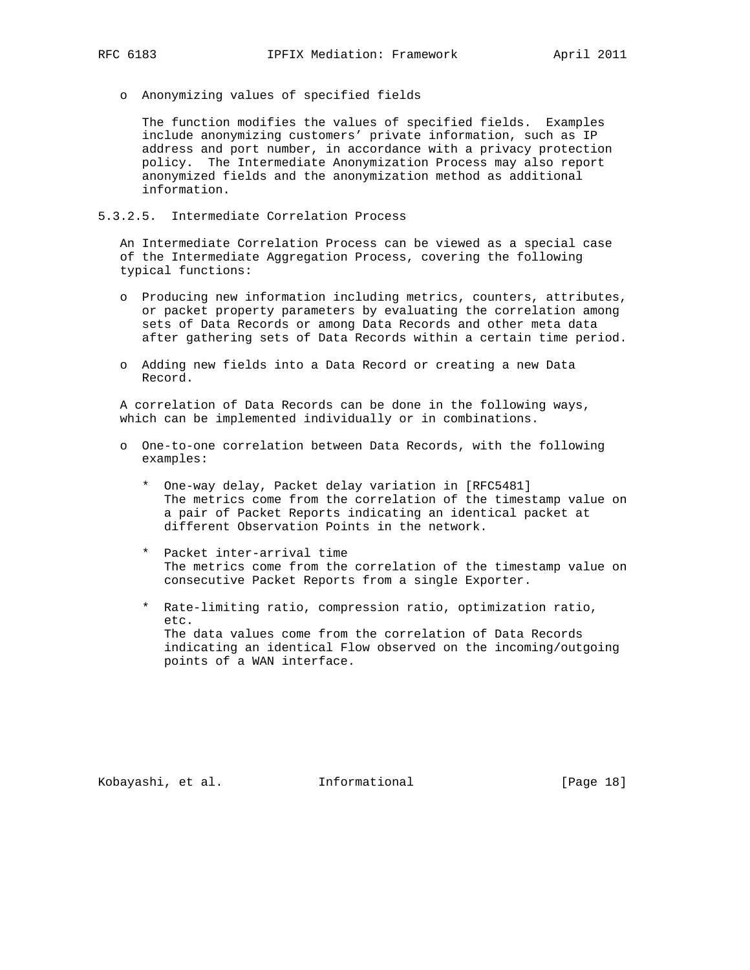- - o Anonymizing values of specified fields

 The function modifies the values of specified fields. Examples include anonymizing customers' private information, such as IP address and port number, in accordance with a privacy protection policy. The Intermediate Anonymization Process may also report anonymized fields and the anonymization method as additional information.

# 5.3.2.5. Intermediate Correlation Process

 An Intermediate Correlation Process can be viewed as a special case of the Intermediate Aggregation Process, covering the following typical functions:

- o Producing new information including metrics, counters, attributes, or packet property parameters by evaluating the correlation among sets of Data Records or among Data Records and other meta data after gathering sets of Data Records within a certain time period.
- o Adding new fields into a Data Record or creating a new Data Record.

 A correlation of Data Records can be done in the following ways, which can be implemented individually or in combinations.

- o One-to-one correlation between Data Records, with the following examples:
	- \* One-way delay, Packet delay variation in [RFC5481] The metrics come from the correlation of the timestamp value on a pair of Packet Reports indicating an identical packet at different Observation Points in the network.
	- \* Packet inter-arrival time The metrics come from the correlation of the timestamp value on consecutive Packet Reports from a single Exporter.
	- \* Rate-limiting ratio, compression ratio, optimization ratio, etc. The data values come from the correlation of Data Records indicating an identical Flow observed on the incoming/outgoing points of a WAN interface.

Kobayashi, et al. Informational [Page 18]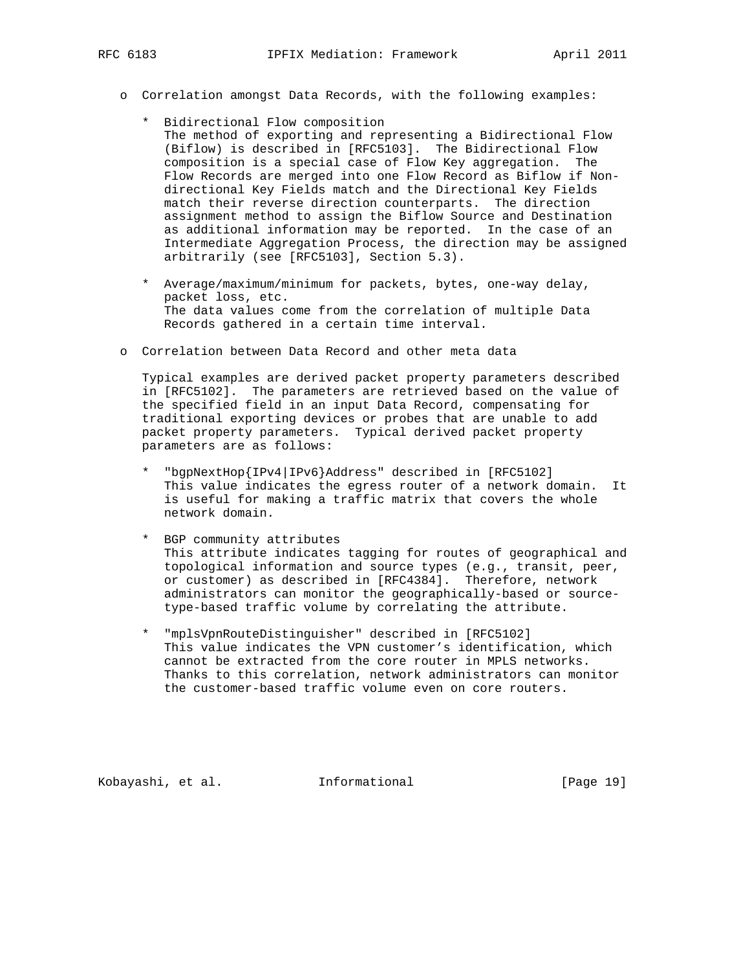- o Correlation amongst Data Records, with the following examples:
	- \* Bidirectional Flow composition The method of exporting and representing a Bidirectional Flow (Biflow) is described in [RFC5103]. The Bidirectional Flow composition is a special case of Flow Key aggregation. The Flow Records are merged into one Flow Record as Biflow if Non directional Key Fields match and the Directional Key Fields match their reverse direction counterparts. The direction assignment method to assign the Biflow Source and Destination as additional information may be reported. In the case of an Intermediate Aggregation Process, the direction may be assigned arbitrarily (see [RFC5103], Section 5.3).
	- \* Average/maximum/minimum for packets, bytes, one-way delay, packet loss, etc. The data values come from the correlation of multiple Data Records gathered in a certain time interval.
- o Correlation between Data Record and other meta data

 Typical examples are derived packet property parameters described in [RFC5102]. The parameters are retrieved based on the value of the specified field in an input Data Record, compensating for traditional exporting devices or probes that are unable to add packet property parameters. Typical derived packet property parameters are as follows:

- \* "bgpNextHop{IPv4|IPv6}Address" described in [RFC5102] This value indicates the egress router of a network domain. It is useful for making a traffic matrix that covers the whole network domain.
- \* BGP community attributes This attribute indicates tagging for routes of geographical and topological information and source types (e.g., transit, peer, or customer) as described in [RFC4384]. Therefore, network administrators can monitor the geographically-based or source type-based traffic volume by correlating the attribute.
- \* "mplsVpnRouteDistinguisher" described in [RFC5102] This value indicates the VPN customer's identification, which cannot be extracted from the core router in MPLS networks. Thanks to this correlation, network administrators can monitor the customer-based traffic volume even on core routers.

Kobayashi, et al. Informational [Page 19]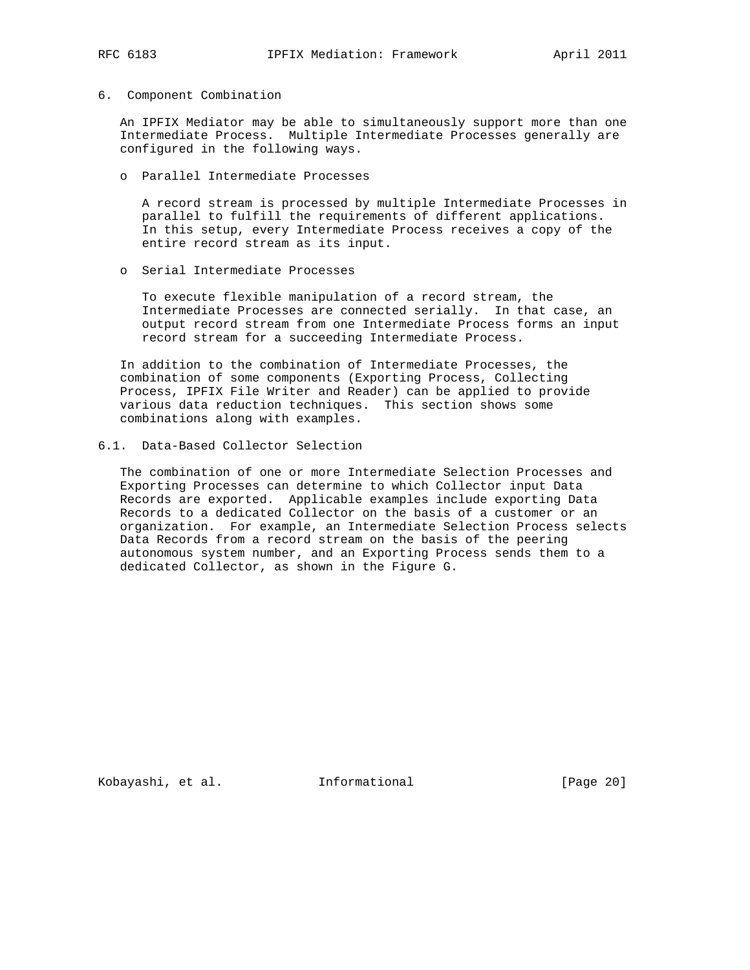### 6. Component Combination

 An IPFIX Mediator may be able to simultaneously support more than one Intermediate Process. Multiple Intermediate Processes generally are configured in the following ways.

o Parallel Intermediate Processes

 A record stream is processed by multiple Intermediate Processes in parallel to fulfill the requirements of different applications. In this setup, every Intermediate Process receives a copy of the entire record stream as its input.

o Serial Intermediate Processes

 To execute flexible manipulation of a record stream, the Intermediate Processes are connected serially. In that case, an output record stream from one Intermediate Process forms an input record stream for a succeeding Intermediate Process.

 In addition to the combination of Intermediate Processes, the combination of some components (Exporting Process, Collecting Process, IPFIX File Writer and Reader) can be applied to provide various data reduction techniques. This section shows some combinations along with examples.

6.1. Data-Based Collector Selection

 The combination of one or more Intermediate Selection Processes and Exporting Processes can determine to which Collector input Data Records are exported. Applicable examples include exporting Data Records to a dedicated Collector on the basis of a customer or an organization. For example, an Intermediate Selection Process selects Data Records from a record stream on the basis of the peering autonomous system number, and an Exporting Process sends them to a dedicated Collector, as shown in the Figure G.

Kobayashi, et al. Informational [Page 20]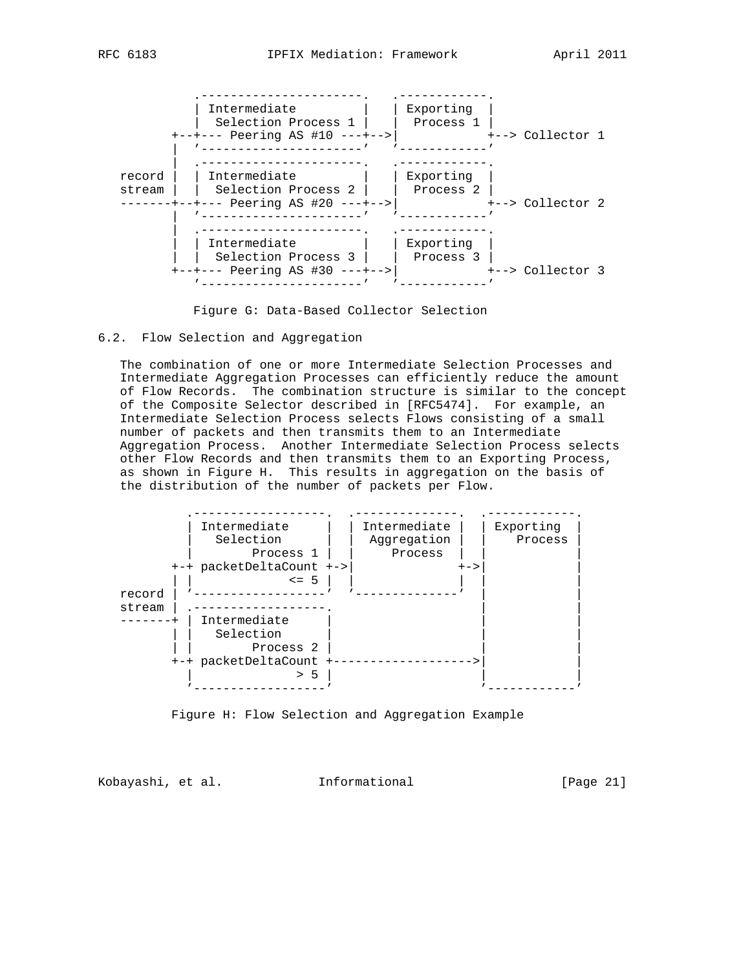

Figure G: Data-Based Collector Selection

## 6.2. Flow Selection and Aggregation

 The combination of one or more Intermediate Selection Processes and Intermediate Aggregation Processes can efficiently reduce the amount of Flow Records. The combination structure is similar to the concept of the Composite Selector described in [RFC5474]. For example, an Intermediate Selection Process selects Flows consisting of a small number of packets and then transmits them to an Intermediate Aggregation Process. Another Intermediate Selection Process selects other Flow Records and then transmits them to an Exporting Process, as shown in Figure H. This results in aggregation on the basis of the distribution of the number of packets per Flow.



Figure H: Flow Selection and Aggregation Example

Kobayashi, et al. Informational [Page 21]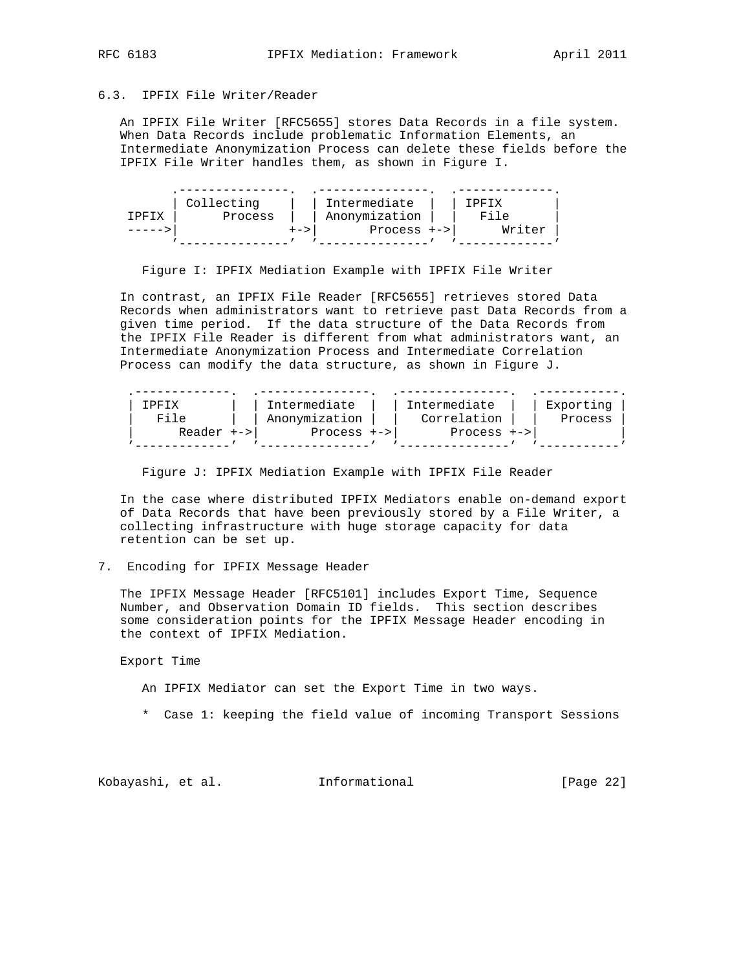# 6.3. IPFIX File Writer/Reader

 An IPFIX File Writer [RFC5655] stores Data Records in a file system. When Data Records include problematic Information Elements, an Intermediate Anonymization Process can delete these fields before the IPFIX File Writer handles them, as shown in Figure I.

|       | Collecting | Intermediate  | TPFTX  |
|-------|------------|---------------|--------|
| צדהפד | Process    | Anonymization | File   |
|       | +->        | Process $+->$ | Writer |
|       |            |               |        |

Figure I: IPFIX Mediation Example with IPFIX File Writer

 In contrast, an IPFIX File Reader [RFC5655] retrieves stored Data Records when administrators want to retrieve past Data Records from a given time period. If the data structure of the Data Records from the IPFIX File Reader is different from what administrators want, an Intermediate Anonymization Process and Intermediate Correlation Process can modify the data structure, as shown in Figure J.

| TDFTX      | Intermediate  | Intermediate  | Exporting |
|------------|---------------|---------------|-----------|
|            | Anonymization | Correlation   | Process   |
| Reader +-> | $Process +->$ | $Process +->$ |           |
|            |               |               |           |

Figure J: IPFIX Mediation Example with IPFIX File Reader

 In the case where distributed IPFIX Mediators enable on-demand export of Data Records that have been previously stored by a File Writer, a collecting infrastructure with huge storage capacity for data retention can be set up.

### 7. Encoding for IPFIX Message Header

 The IPFIX Message Header [RFC5101] includes Export Time, Sequence Number, and Observation Domain ID fields. This section describes some consideration points for the IPFIX Message Header encoding in the context of IPFIX Mediation.

### Export Time

An IPFIX Mediator can set the Export Time in two ways.

\* Case 1: keeping the field value of incoming Transport Sessions

Kobayashi, et al. 1nformational [Page 22]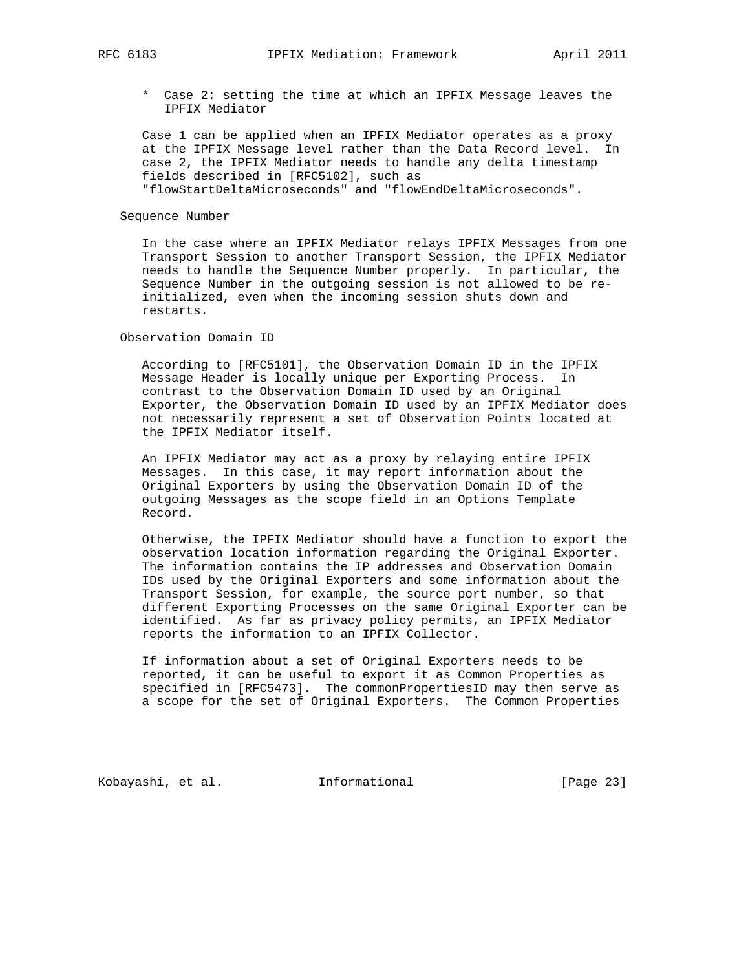\* Case 2: setting the time at which an IPFIX Message leaves the IPFIX Mediator

 Case 1 can be applied when an IPFIX Mediator operates as a proxy at the IPFIX Message level rather than the Data Record level. In case 2, the IPFIX Mediator needs to handle any delta timestamp fields described in [RFC5102], such as "flowStartDeltaMicroseconds" and "flowEndDeltaMicroseconds".

Sequence Number

 In the case where an IPFIX Mediator relays IPFIX Messages from one Transport Session to another Transport Session, the IPFIX Mediator needs to handle the Sequence Number properly. In particular, the Sequence Number in the outgoing session is not allowed to be re initialized, even when the incoming session shuts down and restarts.

### Observation Domain ID

 According to [RFC5101], the Observation Domain ID in the IPFIX Message Header is locally unique per Exporting Process. In contrast to the Observation Domain ID used by an Original Exporter, the Observation Domain ID used by an IPFIX Mediator does not necessarily represent a set of Observation Points located at the IPFIX Mediator itself.

 An IPFIX Mediator may act as a proxy by relaying entire IPFIX Messages. In this case, it may report information about the Original Exporters by using the Observation Domain ID of the outgoing Messages as the scope field in an Options Template Record.

 Otherwise, the IPFIX Mediator should have a function to export the observation location information regarding the Original Exporter. The information contains the IP addresses and Observation Domain IDs used by the Original Exporters and some information about the Transport Session, for example, the source port number, so that different Exporting Processes on the same Original Exporter can be identified. As far as privacy policy permits, an IPFIX Mediator reports the information to an IPFIX Collector.

 If information about a set of Original Exporters needs to be reported, it can be useful to export it as Common Properties as specified in [RFC5473]. The commonPropertiesID may then serve as a scope for the set of Original Exporters. The Common Properties

Kobayashi, et al. 1nformational [Page 23]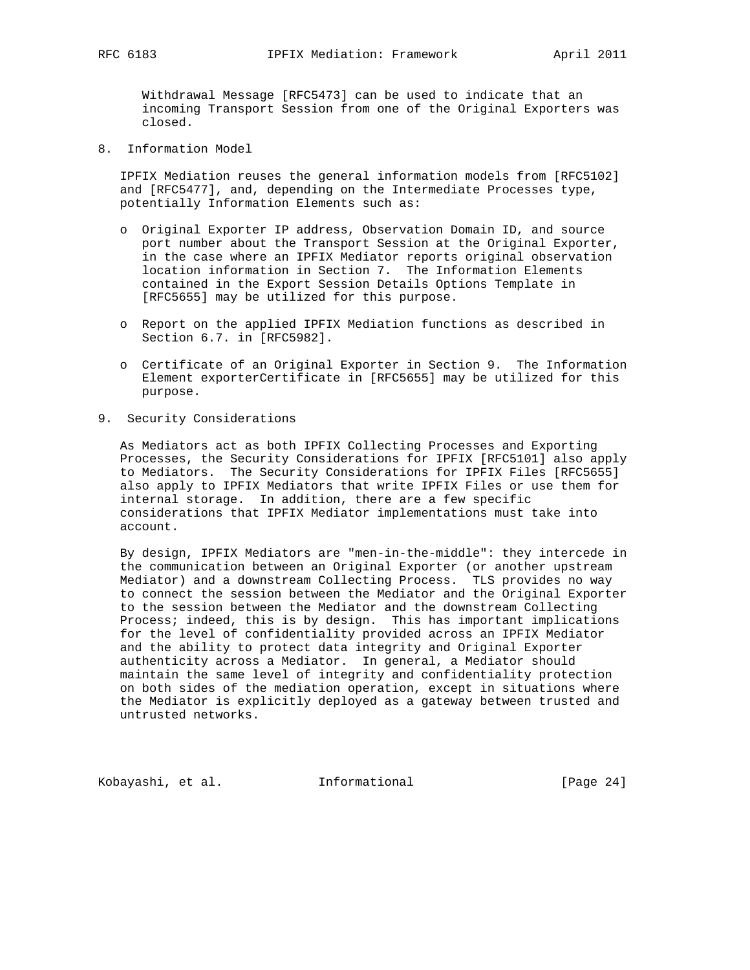Withdrawal Message [RFC5473] can be used to indicate that an incoming Transport Session from one of the Original Exporters was closed.

8. Information Model

 IPFIX Mediation reuses the general information models from [RFC5102] and [RFC5477], and, depending on the Intermediate Processes type, potentially Information Elements such as:

- o Original Exporter IP address, Observation Domain ID, and source port number about the Transport Session at the Original Exporter, in the case where an IPFIX Mediator reports original observation location information in Section 7. The Information Elements contained in the Export Session Details Options Template in [RFC5655] may be utilized for this purpose.
- o Report on the applied IPFIX Mediation functions as described in Section 6.7. in [RFC5982].
- o Certificate of an Original Exporter in Section 9. The Information Element exporterCertificate in [RFC5655] may be utilized for this purpose.
- 9. Security Considerations

 As Mediators act as both IPFIX Collecting Processes and Exporting Processes, the Security Considerations for IPFIX [RFC5101] also apply to Mediators. The Security Considerations for IPFIX Files [RFC5655] also apply to IPFIX Mediators that write IPFIX Files or use them for internal storage. In addition, there are a few specific considerations that IPFIX Mediator implementations must take into account.

 By design, IPFIX Mediators are "men-in-the-middle": they intercede in the communication between an Original Exporter (or another upstream Mediator) and a downstream Collecting Process. TLS provides no way to connect the session between the Mediator and the Original Exporter to the session between the Mediator and the downstream Collecting Process; indeed, this is by design. This has important implications for the level of confidentiality provided across an IPFIX Mediator and the ability to protect data integrity and Original Exporter authenticity across a Mediator. In general, a Mediator should maintain the same level of integrity and confidentiality protection on both sides of the mediation operation, except in situations where the Mediator is explicitly deployed as a gateway between trusted and untrusted networks.

Kobayashi, et al. Informational [Page 24]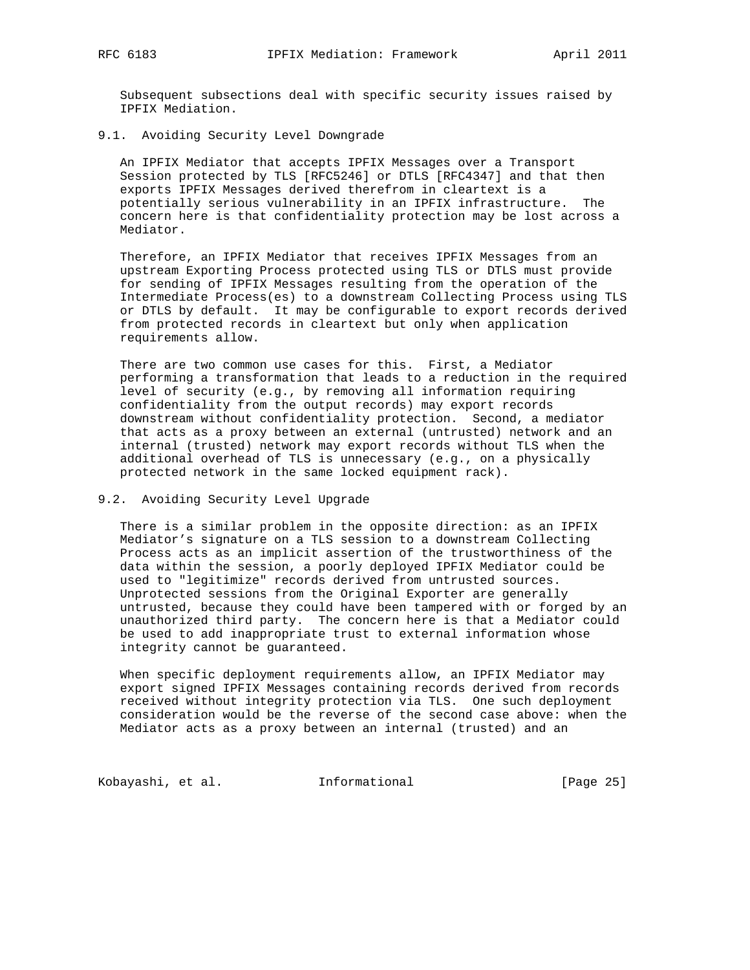Subsequent subsections deal with specific security issues raised by IPFIX Mediation.

## 9.1. Avoiding Security Level Downgrade

 An IPFIX Mediator that accepts IPFIX Messages over a Transport Session protected by TLS [RFC5246] or DTLS [RFC4347] and that then exports IPFIX Messages derived therefrom in cleartext is a potentially serious vulnerability in an IPFIX infrastructure. The concern here is that confidentiality protection may be lost across a Mediator.

 Therefore, an IPFIX Mediator that receives IPFIX Messages from an upstream Exporting Process protected using TLS or DTLS must provide for sending of IPFIX Messages resulting from the operation of the Intermediate Process(es) to a downstream Collecting Process using TLS or DTLS by default. It may be configurable to export records derived from protected records in cleartext but only when application requirements allow.

 There are two common use cases for this. First, a Mediator performing a transformation that leads to a reduction in the required level of security (e.g., by removing all information requiring confidentiality from the output records) may export records downstream without confidentiality protection. Second, a mediator that acts as a proxy between an external (untrusted) network and an internal (trusted) network may export records without TLS when the additional overhead of TLS is unnecessary (e.g., on a physically protected network in the same locked equipment rack).

## 9.2. Avoiding Security Level Upgrade

 There is a similar problem in the opposite direction: as an IPFIX Mediator's signature on a TLS session to a downstream Collecting Process acts as an implicit assertion of the trustworthiness of the data within the session, a poorly deployed IPFIX Mediator could be used to "legitimize" records derived from untrusted sources. Unprotected sessions from the Original Exporter are generally untrusted, because they could have been tampered with or forged by an unauthorized third party. The concern here is that a Mediator could be used to add inappropriate trust to external information whose integrity cannot be guaranteed.

 When specific deployment requirements allow, an IPFIX Mediator may export signed IPFIX Messages containing records derived from records received without integrity protection via TLS. One such deployment consideration would be the reverse of the second case above: when the Mediator acts as a proxy between an internal (trusted) and an

Kobayashi, et al. 1nformational [Page 25]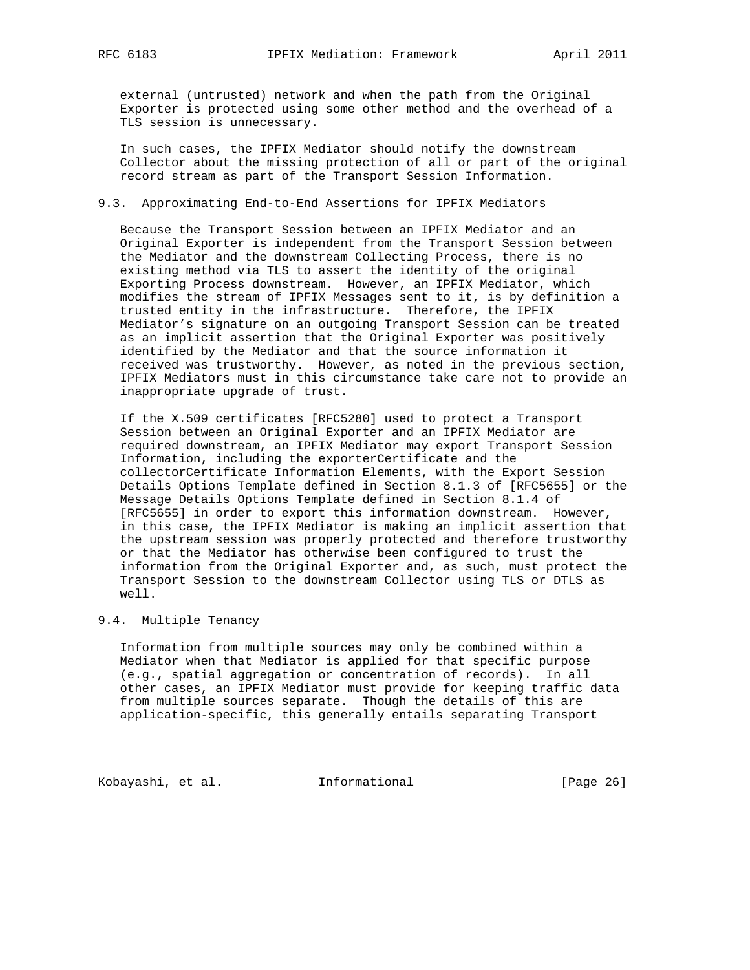external (untrusted) network and when the path from the Original Exporter is protected using some other method and the overhead of a TLS session is unnecessary.

 In such cases, the IPFIX Mediator should notify the downstream Collector about the missing protection of all or part of the original record stream as part of the Transport Session Information.

## 9.3. Approximating End-to-End Assertions for IPFIX Mediators

 Because the Transport Session between an IPFIX Mediator and an Original Exporter is independent from the Transport Session between the Mediator and the downstream Collecting Process, there is no existing method via TLS to assert the identity of the original Exporting Process downstream. However, an IPFIX Mediator, which modifies the stream of IPFIX Messages sent to it, is by definition a trusted entity in the infrastructure. Therefore, the IPFIX Mediator's signature on an outgoing Transport Session can be treated as an implicit assertion that the Original Exporter was positively identified by the Mediator and that the source information it received was trustworthy. However, as noted in the previous section, IPFIX Mediators must in this circumstance take care not to provide an inappropriate upgrade of trust.

 If the X.509 certificates [RFC5280] used to protect a Transport Session between an Original Exporter and an IPFIX Mediator are required downstream, an IPFIX Mediator may export Transport Session Information, including the exporterCertificate and the collectorCertificate Information Elements, with the Export Session Details Options Template defined in Section 8.1.3 of [RFC5655] or the Message Details Options Template defined in Section 8.1.4 of [RFC5655] in order to export this information downstream. However, in this case, the IPFIX Mediator is making an implicit assertion that the upstream session was properly protected and therefore trustworthy or that the Mediator has otherwise been configured to trust the information from the Original Exporter and, as such, must protect the Transport Session to the downstream Collector using TLS or DTLS as well.

## 9.4. Multiple Tenancy

 Information from multiple sources may only be combined within a Mediator when that Mediator is applied for that specific purpose (e.g., spatial aggregation or concentration of records). In all other cases, an IPFIX Mediator must provide for keeping traffic data from multiple sources separate. Though the details of this are application-specific, this generally entails separating Transport

Kobayashi, et al. 1nformational [Page 26]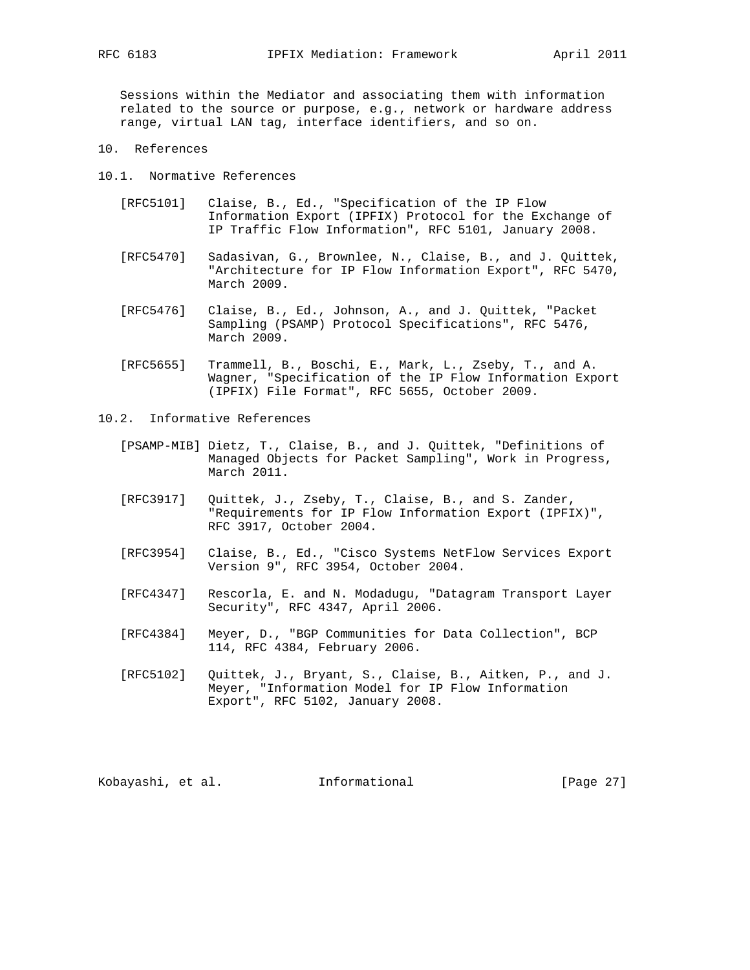Sessions within the Mediator and associating them with information related to the source or purpose, e.g., network or hardware address range, virtual LAN tag, interface identifiers, and so on.

- 10. References
- 10.1. Normative References
	- [RFC5101] Claise, B., Ed., "Specification of the IP Flow Information Export (IPFIX) Protocol for the Exchange of IP Traffic Flow Information", RFC 5101, January 2008.
	- [RFC5470] Sadasivan, G., Brownlee, N., Claise, B., and J. Quittek, "Architecture for IP Flow Information Export", RFC 5470, March 2009.
	- [RFC5476] Claise, B., Ed., Johnson, A., and J. Quittek, "Packet Sampling (PSAMP) Protocol Specifications", RFC 5476, March 2009.
	- [RFC5655] Trammell, B., Boschi, E., Mark, L., Zseby, T., and A. Wagner, "Specification of the IP Flow Information Export (IPFIX) File Format", RFC 5655, October 2009.
- 10.2. Informative References
	- [PSAMP-MIB] Dietz, T., Claise, B., and J. Quittek, "Definitions of Managed Objects for Packet Sampling", Work in Progress, March 2011.
	- [RFC3917] Quittek, J., Zseby, T., Claise, B., and S. Zander, "Requirements for IP Flow Information Export (IPFIX)", RFC 3917, October 2004.
	- [RFC3954] Claise, B., Ed., "Cisco Systems NetFlow Services Export Version 9", RFC 3954, October 2004.
	- [RFC4347] Rescorla, E. and N. Modadugu, "Datagram Transport Layer Security", RFC 4347, April 2006.
	- [RFC4384] Meyer, D., "BGP Communities for Data Collection", BCP 114, RFC 4384, February 2006.
	- [RFC5102] Quittek, J., Bryant, S., Claise, B., Aitken, P., and J. Meyer, "Information Model for IP Flow Information Export", RFC 5102, January 2008.

Kobayashi, et al. 1nformational [Page 27]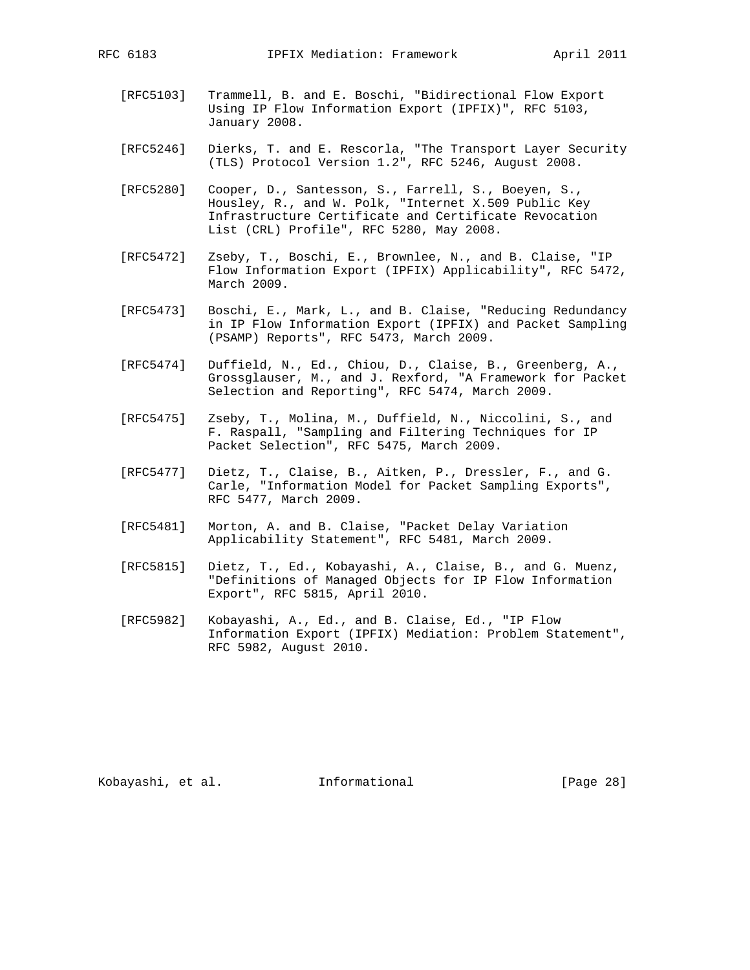- [RFC5103] Trammell, B. and E. Boschi, "Bidirectional Flow Export Using IP Flow Information Export (IPFIX)", RFC 5103, January 2008.
- [RFC5246] Dierks, T. and E. Rescorla, "The Transport Layer Security (TLS) Protocol Version 1.2", RFC 5246, August 2008.
- [RFC5280] Cooper, D., Santesson, S., Farrell, S., Boeyen, S., Housley, R., and W. Polk, "Internet X.509 Public Key Infrastructure Certificate and Certificate Revocation List (CRL) Profile", RFC 5280, May 2008.
	- [RFC5472] Zseby, T., Boschi, E., Brownlee, N., and B. Claise, "IP Flow Information Export (IPFIX) Applicability", RFC 5472, March 2009.
	- [RFC5473] Boschi, E., Mark, L., and B. Claise, "Reducing Redundancy in IP Flow Information Export (IPFIX) and Packet Sampling (PSAMP) Reports", RFC 5473, March 2009.
	- [RFC5474] Duffield, N., Ed., Chiou, D., Claise, B., Greenberg, A., Grossglauser, M., and J. Rexford, "A Framework for Packet Selection and Reporting", RFC 5474, March 2009.
	- [RFC5475] Zseby, T., Molina, M., Duffield, N., Niccolini, S., and F. Raspall, "Sampling and Filtering Techniques for IP Packet Selection", RFC 5475, March 2009.
	- [RFC5477] Dietz, T., Claise, B., Aitken, P., Dressler, F., and G. Carle, "Information Model for Packet Sampling Exports", RFC 5477, March 2009.
	- [RFC5481] Morton, A. and B. Claise, "Packet Delay Variation Applicability Statement", RFC 5481, March 2009.
	- [RFC5815] Dietz, T., Ed., Kobayashi, A., Claise, B., and G. Muenz, "Definitions of Managed Objects for IP Flow Information Export", RFC 5815, April 2010.
	- [RFC5982] Kobayashi, A., Ed., and B. Claise, Ed., "IP Flow Information Export (IPFIX) Mediation: Problem Statement", RFC 5982, August 2010.

Kobayashi, et al. Informational [Page 28]